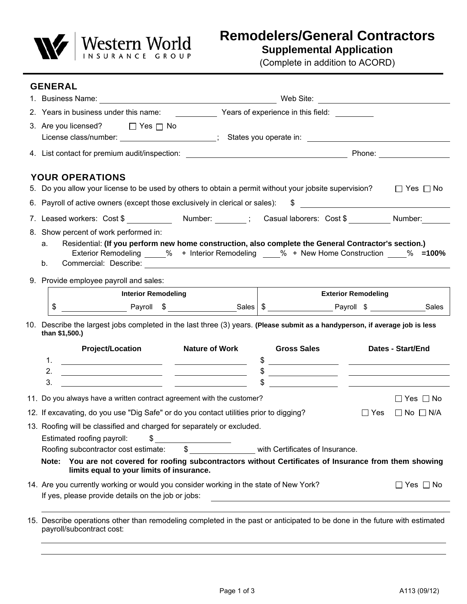

**Remodelers/General Contractors**

**Supplemental Application**

(Complete in addition to ACORD)

| <b>GENERAL</b>                                                                                                                                                                                         |                       |                                 |                                                                                                                                                                                                                                                                                                                                                                                                                    |                          |
|--------------------------------------------------------------------------------------------------------------------------------------------------------------------------------------------------------|-----------------------|---------------------------------|--------------------------------------------------------------------------------------------------------------------------------------------------------------------------------------------------------------------------------------------------------------------------------------------------------------------------------------------------------------------------------------------------------------------|--------------------------|
|                                                                                                                                                                                                        |                       |                                 |                                                                                                                                                                                                                                                                                                                                                                                                                    |                          |
| 2. Years in business under this name: Years of experience in this field:                                                                                                                               |                       |                                 |                                                                                                                                                                                                                                                                                                                                                                                                                    |                          |
| 3. Are you licensed? □ Yes □ No                                                                                                                                                                        |                       |                                 |                                                                                                                                                                                                                                                                                                                                                                                                                    |                          |
|                                                                                                                                                                                                        |                       |                                 |                                                                                                                                                                                                                                                                                                                                                                                                                    |                          |
| 4. List contact for premium audit/inspection: Phone: Phone: Phone: Phone:                                                                                                                              |                       |                                 |                                                                                                                                                                                                                                                                                                                                                                                                                    |                          |
| <b>YOUR OPERATIONS</b>                                                                                                                                                                                 |                       |                                 |                                                                                                                                                                                                                                                                                                                                                                                                                    |                          |
| 5. Do you allow your license to be used by others to obtain a permit without your jobsite supervision?                                                                                                 |                       |                                 |                                                                                                                                                                                                                                                                                                                                                                                                                    | $\Box$ Yes $\Box$ No     |
| 6. Payroll of active owners (except those exclusively in clerical or sales):                                                                                                                           |                       |                                 | $\sim$                                                                                                                                                                                                                                                                                                                                                                                                             |                          |
| 7. Leased workers: Cost \$ ______________ Number: ________; Casual laborers: Cost \$ _________ Number: _____                                                                                           |                       |                                 |                                                                                                                                                                                                                                                                                                                                                                                                                    |                          |
| 8. Show percent of work performed in:                                                                                                                                                                  |                       |                                 |                                                                                                                                                                                                                                                                                                                                                                                                                    |                          |
| Residential: (If you perform new home construction, also complete the General Contractor's section.)<br>a.                                                                                             |                       |                                 |                                                                                                                                                                                                                                                                                                                                                                                                                    |                          |
| Exterior Remodeling % + Interior Remodeling % + New Home Construction % =100%<br>b.                                                                                                                    |                       |                                 |                                                                                                                                                                                                                                                                                                                                                                                                                    |                          |
|                                                                                                                                                                                                        |                       |                                 |                                                                                                                                                                                                                                                                                                                                                                                                                    |                          |
| 9. Provide employee payroll and sales:                                                                                                                                                                 |                       |                                 |                                                                                                                                                                                                                                                                                                                                                                                                                    |                          |
| <b>Interior Remodeling</b>                                                                                                                                                                             |                       |                                 | <b>Exterior Remodeling</b>                                                                                                                                                                                                                                                                                                                                                                                         |                          |
|                                                                                                                                                                                                        |                       |                                 |                                                                                                                                                                                                                                                                                                                                                                                                                    |                          |
| 10. Describe the largest jobs completed in the last three (3) years. (Please submit as a handyperson, if average job is less                                                                           |                       |                                 |                                                                                                                                                                                                                                                                                                                                                                                                                    |                          |
| than \$1,500.)                                                                                                                                                                                         |                       |                                 |                                                                                                                                                                                                                                                                                                                                                                                                                    |                          |
| <b>Project/Location</b>                                                                                                                                                                                | <b>Nature of Work</b> | <b>Gross Sales</b>              |                                                                                                                                                                                                                                                                                                                                                                                                                    | <b>Dates - Start/End</b> |
| 1.                                                                                                                                                                                                     |                       | $\frac{1}{2}$                   |                                                                                                                                                                                                                                                                                                                                                                                                                    |                          |
| 2.<br>3.                                                                                                                                                                                               |                       |                                 | $\frac{1}{2}$                                                                                                                                                                                                                                                                                                                                                                                                      |                          |
| 11. Do you always have a written contract agreement with the customer?                                                                                                                                 |                       |                                 | $\frac{1}{\sqrt{1-\frac{1}{2}}}\frac{1}{\sqrt{1-\frac{1}{2}}\sqrt{1-\frac{1}{2}}\sqrt{1-\frac{1}{2}}\sqrt{1-\frac{1}{2}}\sqrt{1-\frac{1}{2}}\sqrt{1-\frac{1}{2}}\sqrt{1-\frac{1}{2}}\sqrt{1-\frac{1}{2}}\sqrt{1-\frac{1}{2}}\sqrt{1-\frac{1}{2}}\sqrt{1-\frac{1}{2}}\sqrt{1-\frac{1}{2}}\sqrt{1-\frac{1}{2}}\sqrt{1-\frac{1}{2}}\sqrt{1-\frac{1}{2}}\sqrt{1-\frac{1}{2}}\sqrt{1-\frac{1}{2}}\sqrt{1-\frac{1}{2}}\$ |                          |
|                                                                                                                                                                                                        |                       |                                 |                                                                                                                                                                                                                                                                                                                                                                                                                    | $\Box$ Yes $\Box$ No     |
| 12. If excavating, do you use "Dig Safe" or do you contact utilities prior to digging?                                                                                                                 |                       |                                 | $\Box$ Yes                                                                                                                                                                                                                                                                                                                                                                                                         | $\Box$ No $\Box$ N/A     |
| 13. Roofing will be classified and charged for separately or excluded.                                                                                                                                 |                       |                                 |                                                                                                                                                                                                                                                                                                                                                                                                                    |                          |
| Estimated roofing payroll:<br>\$<br><u> 1989 - Jan Barbara III, prima postala prima prima prima prima prima prima prima prima prima prima prima prim</u><br>\$<br>Roofing subcontractor cost estimate: |                       | with Certificates of Insurance. |                                                                                                                                                                                                                                                                                                                                                                                                                    |                          |
| Note: You are not covered for roofing subcontractors without Certificates of Insurance from them showing                                                                                               |                       |                                 |                                                                                                                                                                                                                                                                                                                                                                                                                    |                          |
| limits equal to your limits of insurance.                                                                                                                                                              |                       |                                 |                                                                                                                                                                                                                                                                                                                                                                                                                    |                          |
| 14. Are you currently working or would you consider working in the state of New York?                                                                                                                  |                       |                                 |                                                                                                                                                                                                                                                                                                                                                                                                                    | $\Box$ Yes $\Box$ No     |
| If yes, please provide details on the job or jobs:                                                                                                                                                     |                       |                                 |                                                                                                                                                                                                                                                                                                                                                                                                                    |                          |
|                                                                                                                                                                                                        |                       |                                 |                                                                                                                                                                                                                                                                                                                                                                                                                    |                          |
| 15 Describe operations other than remodeling completed in the past or anticipated to be done in the future with estimated                                                                              |                       |                                 |                                                                                                                                                                                                                                                                                                                                                                                                                    |                          |

scribe operations other than remodeling completed in the past or anticipated to be done in the future with estima payroll/subcontract cost: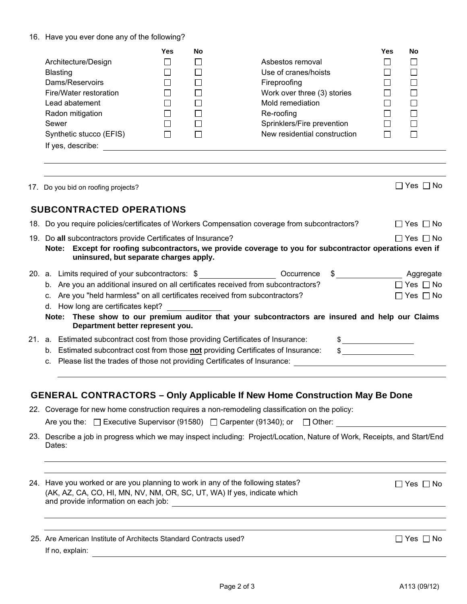### 16. Have you ever done any of the following?

|                         | Yes | <b>No</b> |                              | Yes | No |
|-------------------------|-----|-----------|------------------------------|-----|----|
| Architecture/Design     |     |           | Asbestos removal             |     |    |
| Blasting                |     |           | Use of cranes/hoists         |     |    |
| Dams/Reservoirs         |     |           | Fireproofing                 |     |    |
| Fire/Water restoration  |     |           | Work over three (3) stories  |     |    |
| Lead abatement          |     |           | Mold remediation             |     |    |
| Radon mitigation        |     |           | Re-roofing                   |     |    |
| Sewer                   |     |           | Sprinklers/Fire prevention   |     |    |
| Synthetic stucco (EFIS) |     |           | New residential construction |     |    |
| If yes, describe:       |     |           |                              |     |    |

17. Do you bid on roofing projects?  $\Box$  Yes  $\Box$  No

# **SUBCONTRACTED OPERATIONS**

18. Do you require policies/certificates of Workers Compensation coverage from subcontractors?  $\square$  Yes  $\square$  No

19. Do all subcontractors provide Certificates of Insurance?  $\square$  Yes  $\square$  Yes  $\square$  No

| Note: Except for roofing subcontractors, we provide coverage to you for subcontractor operations even if |
|----------------------------------------------------------------------------------------------------------|
| uninsured, but separate charges apply.                                                                   |

|  | 20. a. Limits required of your subcontractors: \$                                                                                    | Occurrence | Aggregate            |
|--|--------------------------------------------------------------------------------------------------------------------------------------|------------|----------------------|
|  | b. Are you an additional insured on all certificates received from subcontractors?                                                   |            | $\Box$ Yes $\Box$ No |
|  | c. Are you "held harmless" on all certificates received from subcontractors?                                                         |            | $\Box$ Yes $\Box$ No |
|  | d. How long are certificates kept?                                                                                                   |            |                      |
|  | Note: These show to our premium auditor that your subcontractors are insured and help our Claims<br>Department better represent you. |            |                      |

| 21. a. Estimated subcontract cost from those providing Certificates of Insurance: |  |
|-----------------------------------------------------------------------------------|--|
| b. Estimated subcontract cost from those not providing Certificates of Insurance: |  |

c. Please list the trades of those not providing Certificates of Insurance:

# **GENERAL CONTRACTORS – Only Applicable If New Home Construction May Be Done**

| 22. Coverage for new home construction requires a non-remodeling classification on the policy: |  |
|------------------------------------------------------------------------------------------------|--|
|                                                                                                |  |

Are you the:  $\Box$  Executive Supervisor (91580)  $\Box$  Carpenter (91340); or  $\Box$  Other:

| 23. Describe a job in progress which we may inspect including: Project/Location, Nature of Work, Receipts, and Start/End |  |  |
|--------------------------------------------------------------------------------------------------------------------------|--|--|
| Dates:                                                                                                                   |  |  |

24. Have you worked or are you planning to work in any of the following states?  $\Box$  Yes  $\Box$  No (AK, AZ, CA, CO, HI, MN, NV, NM, OR, SC, UT, WA) If yes, indicate which and provide information on each job:

|                             | 25. Are American Institute of Architects Standard Contracts used? |  |  |
|-----------------------------|-------------------------------------------------------------------|--|--|
| $\mathbf{r}$ , $\mathbf{r}$ |                                                                   |  |  |

If no, explain:

 $\Box$  Yes  $\Box$  No